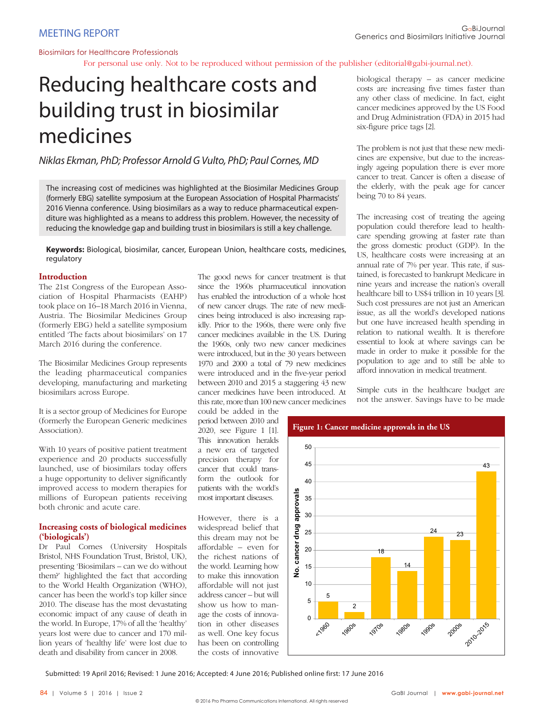For personal use only. Not to be reproduced without permission of the publisher (editorial@gabi-journal.net).

# Reducing healthcare costs and building trust in biosimilar medicines

Niklas Ekman, PhD; Professor Arnold G Vulto, PhD; Paul Cornes, MD

The increasing cost of medicines was highlighted at the Biosimilar Medicines Group (formerly EBG) satellite symposium at the European Association of Hospital Pharmacists' 2016 Vienna conference. Using biosimilars as a way to reduce pharmaceutical expenditure was highlighted as a means to address this problem. However, the necessity of reducing the knowledge gap and building trust in biosimilars is still a key challenge.

**Keywords:** Biological, biosimilar, cancer, European Union, healthcare costs, medicines, regulatory

# **Introduction**

The 21st Congress of the European Association of Hospital Pharmacists (EAHP) took place on 16–18 March 2016 in Vienna, Austria. The Biosimilar Medicines Group (formerly EBG) held a satellite symposium entitled 'The facts about biosimilars' on 17 March 2016 during the conference.

The Biosimilar Medicines Group represents the leading pharmaceutical companies developing, manufacturing and marketing biosimilars across Europe.

It is a sector group of Medicines for Europe (formerly the European Generic medicines Association).

With 10 years of positive patient treatment experience and 20 products successfully launched, use of biosimilars today offers a huge opportunity to deliver significantly improved access to modern therapies for millions of European patients receiving both chronic and acute care.

# **Increasing costs of biological medicines ('biologicals')**

Dr Paul Cornes (University Hospitals Bristol, NHS Foundation Trust, Bristol, UK), presenting 'Biosimilars – can we do without them?' highlighted the fact that according to the World Health Organization (WHO), cancer has been the world's top killer since 2010. The disease has the most devastating economic impact of any cause of death in the world. In Europe, 17% of all the 'healthy' years lost were due to cancer and 170 million years of 'healthy life' were lost due to death and disability from cancer in 2008.

The good news for cancer treatment is that since the 1960s pharmaceutical innovation has enabled the introduction of a whole host of new cancer drugs. The rate of new medicines being introduced is also increasing rapidly. Prior to the 1960s, there were only five cancer medicines available in the US. During the 1960s, only two new cancer medicines were introduced, but in the 30 years between 1970 and 2000 a total of 79 new medicines were introduced and in the five-year period between 2010 and 2015 a staggering 43 new cancer medicines have been introduced. At this rate, more than 100 new cancer medicines

could be added in the period between 2010 and 2020, see Figure 1 [1]. This innovation heralds a new era of targeted precision therapy for cancer that could transform the outlook for patients with the world's most important diseases.

However, there is a widespread belief that this dream may not be affordable – even for the richest nations of the world. Learning how to make this innovation affordable will not just address cancer – but will show us how to manage the costs of innovation in other diseases as well. One key focus has been on controlling the costs of innovative

biological therapy – as cancer medicine costs are increasing five times faster than any other class of medicine. In fact, eight cancer medicines approved by the US Food and Drug Administration (FDA) in 2015 had six-figure price tags [2].

The problem is not just that these new medicines are expensive, but due to the increasingly ageing population there is ever more cancer to treat. Cancer is often a disease of the elderly, with the peak age for cancer being 70 to 84 years.

The increasing cost of treating the ageing population could therefore lead to healthcare spending growing at faster rate than the gross domestic product (GDP). In the US, healthcare costs were increasing at an annual rate of 7% per year. This rate, if sustained, is forecasted to bankrupt Medicare in nine years and increase the nation's overall healthcare bill to US\$4 trillion in 10 years [3]. Such cost pressures are not just an American issue, as all the world's developed nations but one have increased health spending in relation to national wealth. It is therefore essential to look at where savings can be made in order to make it possible for the population to age and to still be able to afford innovation in medical treatment.

Simple cuts in the healthcare budget are not the answer. Savings have to be made



Submitted: 19 April 2016; Revised: 1 June 2016; Accepted: 4 June 2016; Published online first: 17 June 2016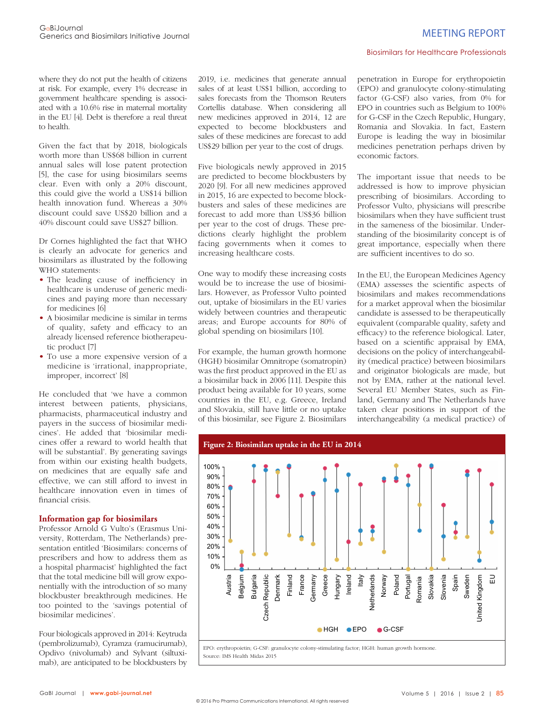where they do not put the health of citizens at risk. For example, every 1% decrease in government healthcare spending is associated with a 10.6% rise in maternal mortality in the EU [4]. Debt is therefore a real threat to health.

Given the fact that by 2018, biologicals worth more than US\$68 billion in current annual sales will lose patent protection [5], the case for using biosimilars seems clear. Even with only a 20% discount, this could give the world a US\$14 billion health innovation fund. Whereas a 30% discount could save US\$20 billion and a 40% discount could save US\$27 billion.

Dr Cornes highlighted the fact that WHO is clearly an advocate for generics and biosimilars as illustrated by the following WHO statements:

- The leading cause of inefficiency in healthcare is underuse of generic medicines and paying more than necessary for medicines [6]
- A biosimilar medicine is similar in terms of quality, safety and efficacy to an already licensed reference biotherapeutic product [7]
- To use a more expensive version of a medicine is 'irrational, inappropriate, improper, incorrect' [8]

He concluded that 'we have a common interest between patients, physicians, pharmacists, pharmaceutical industry and payers in the success of biosimilar medicines'. He added that 'biosimilar medicines offer a reward to world health that will be substantial'. By generating savings from within our existing health budgets, on medicines that are equally safe and effective, we can still afford to invest in healthcare innovation even in times of financial crisis.

#### **Information gap for biosimilars**

Professor Arnold G Vulto's (Erasmus University, Rotterdam, The Netherlands) presentation entitled 'Biosimilars: concerns of prescribers and how to address them as a hospital pharmacist' highlighted the fact that the total medicine bill will grow exponentially with the introduction of so many blockbuster breakthrough medicines. He too pointed to the 'savings potential of biosimilar medicines'.

Four biologicals approved in 2014: Keytruda (pembrolizumab), Cyramza (ramucirumab), Opdivo (nivolumab) and Sylvant (siltuximab), are anticipated to be blockbusters by 2019, i.e. medicines that generate annual sales of at least US\$1 billion, according to sales forecasts from the Thomson Reuters Cortellis database. When considering all new medicines approved in 2014, 12 are expected to become blockbusters and sales of these medicines are forecast to add US\$29 billion per year to the cost of drugs.

Five biologicals newly approved in 2015 are predicted to become blockbusters by 2020 [9]. For all new medicines approved in 2015, 16 are expected to become blockbusters and sales of these medicines are forecast to add more than US\$36 billion per year to the cost of drugs. These predictions clearly highlight the problem facing governments when it comes to increasing healthcare costs.

One way to modify these increasing costs would be to increase the use of biosimilars. However, as Professor Vulto pointed out, uptake of biosimilars in the EU varies widely between countries and therapeutic areas; and Europe accounts for 80% of global spending on biosimilars [10].

For example, the human growth hormone (HGH) biosimilar Omnitrope (somatropin) was the first product approved in the EU as a biosimilar back in 2006 [11]. Despite this product being available for 10 years, some countries in the EU, e.g. Greece, Ireland and Slovakia, still have little or no uptake of this biosimilar, see Figure 2. Biosimilars

penetration in Europe for erythropoietin (EPO) and granulocyte colony-stimulating factor (G-CSF) also varies, from 0% for EPO in countries such as Belgium to 100% for G-CSF in the Czech Republic, Hungary, Romania and Slovakia. In fact, Eastern Europe is leading the way in biosimilar medicines penetration perhaps driven by economic factors.

The important issue that needs to be addressed is how to improve physician prescribing of biosimilars. According to Professor Vulto, physicians will prescribe biosimilars when they have sufficient trust in the sameness of the biosimilar. Understanding of the biosimilarity concept is of great importance, especially when there are sufficient incentives to do so.

In the EU, the European Medicines Agency (EMA) assesses the scientific aspects of biosimilars and makes recommendations for a market approval when the biosimilar candidate is assessed to be therapeutically equivalent (comparable quality, safety and efficacy) to the reference biological. Later, based on a scientific appraisal by EMA, decisions on the policy of interchangeability (medical practice) between biosimilars and originator biologicals are made, but not by EMA, rather at the national level. Several EU Member States, such as Finland, Germany and The Netherlands have taken clear positions in support of the interchangeability (a medical practice) of



Source: IMS Health Midas 2015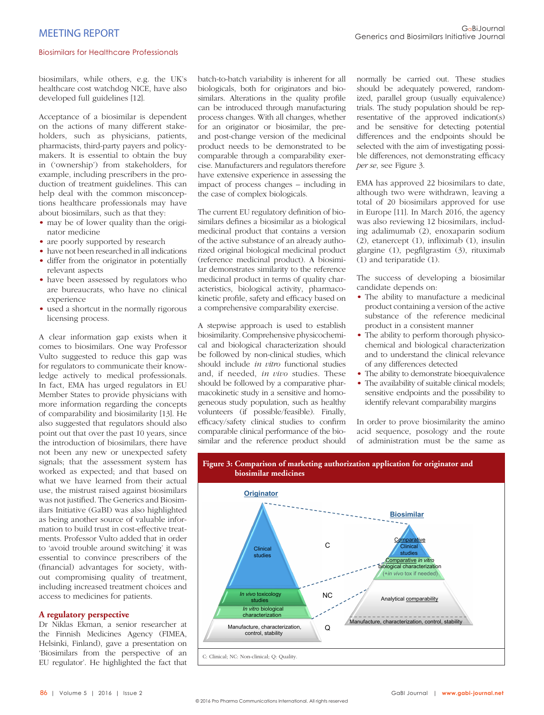biosimilars, while others, e.g. the UK's healthcare cost watchdog NICE, have also developed full guidelines [12].

Acceptance of a biosimilar is dependent on the actions of many different stakeholders, such as physicians, patients, pharmacists, third-party payers and policymakers. It is essential to obtain the buy in ('ownership') from stakeholders, for example, including prescribers in the production of treatment guidelines. This can help deal with the common misconceptions healthcare professionals may have about biosimilars, such as that they:

- may be of lower quality than the originator medicine
- are poorly supported by research
- have not been researched in all indications
- differ from the originator in potentially relevant aspects
- have been assessed by regulators who are bureaucrats, who have no clinical experience
- used a shortcut in the normally rigorous licensing process.

A clear information gap exists when it comes to biosimilars. One way Professor Vulto suggested to reduce this gap was for regulators to communicate their knowledge actively to medical professionals. In fact, EMA has urged regulators in EU Member States to provide physicians with more information regarding the concepts of comparability and biosimilarity [13]. He also suggested that regulators should also point out that over the past 10 years, since the introduction of biosimilars, there have not been any new or unexpected safety signals; that the assessment system has worked as expected; and that based on what we have learned from their actual use, the mistrust raised against biosimilars was not justified. The Generics and Biosimilars Initiative (GaBI) was also highlighted as being another source of valuable information to build trust in cost-effective treatments. Professor Vulto added that in order to 'avoid trouble around switching' it was essential to convince prescribers of the (financial) advantages for society, without compromising quality of treatment, including increased treatment choices and access to medicines for patients.

# **A regulatory perspective**

Dr Niklas Ekman, a senior researcher at the Finnish Medicines Agency (FIMEA, Helsinki, Finland), gave a presentation on 'Biosimilars from the perspective of an EU regulator'. He highlighted the fact that

batch-to-batch variability is inherent for all biologicals, both for originators and biosimilars. Alterations in the quality profile can be introduced through manufacturing process changes. With all changes, whether for an originator or biosimilar, the preand post-change version of the medicinal product needs to be demonstrated to be comparable through a comparability exercise. Manufacturers and regulators therefore have extensive experience in assessing the impact of process changes – including in the case of complex biologicals.

The current EU regulatory definition of biosimilars defines a biosimilar as a biological medicinal product that contains a version of the active substance of an already authorized original biological medicinal product (reference medicinal product). A biosimilar demonstrates similarity to the reference medicinal product in terms of quality characteristics, biological activity, pharmacokinetic profile, safety and efficacy based on a comprehensive comparability exercise.

A stepwise approach is used to establish biosimilarity. Comprehensive physicochemical and biological characterization should be followed by non-clinical studies, which should include *in vitro* functional studies and, if needed, *in vivo* studies. These should be followed by a comparative pharmacokinetic study in a sensitive and homogeneous study population, such as healthy volunteers (if possible/feasible). Finally, efficacy/safety clinical studies to confirm comparable clinical performance of the biosimilar and the reference product should

normally be carried out. These studies should be adequately powered, randomized, parallel group (usually equivalence) trials. The study population should be representative of the approved indication(s) and be sensitive for detecting potential differences and the endpoints should be selected with the aim of investigating possible differences, not demonstrating efficacy *per se*, see Figure 3.

EMA has approved 22 biosimilars to date, although two were withdrawn, leaving a total of 20 biosimilars approved for use in Europe [11]. In March 2016, the agency was also reviewing 12 biosimilars, including adalimumab (2), enoxaparin sodium  $(2)$ , etanercept  $(1)$ , infliximab  $(1)$ , insulin glargine (1), pegfilgrastim (3), rituximab (1) and teriparatide (1).

The success of developing a biosimilar candidate depends on:

- The ability to manufacture a medicinal product containing a version of the active substance of the reference medicinal product in a consistent manner
- The ability to perform thorough physicochemical and biological characterization and to understand the clinical relevance of any differences detected
- The ability to demonstrate bioequivalence
- The availability of suitable clinical models; sensitive endpoints and the possibility to identify relevant comparability margins

In order to prove biosimilarity the amino acid sequence, posology and the route of administration must be the same as

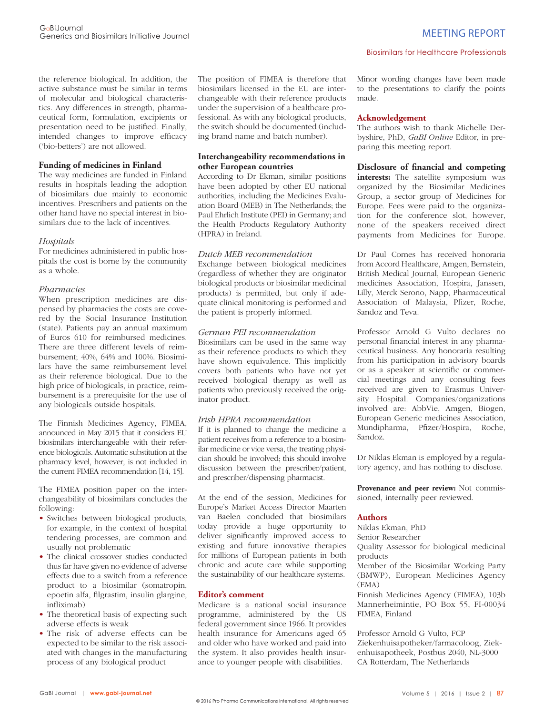the reference biological. In addition, the active substance must be similar in terms of molecular and biological characteristics. Any differences in strength, pharmaceutical form, formulation, excipients or presentation need to be justified. Finally, intended changes to improve efficacy ('bio-betters') are not allowed.

### **Funding of medicines in Finland**

The way medicines are funded in Finland results in hospitals leading the adoption of biosimilars due mainly to economic incentives. Prescribers and patients on the other hand have no special interest in biosimilars due to the lack of incentives.

#### *Hospitals*

For medicines administered in public hospitals the cost is borne by the community as a whole.

#### *Pharmacies*

When prescription medicines are dispensed by pharmacies the costs are covered by the Social Insurance Institution (state). Patients pay an annual maximum of Euros 610 for reimbursed medicines. There are three different levels of reimbursement; 40%, 64% and 100%. Biosimilars have the same reimbursement level as their reference biological. Due to the high price of biologicals, in practice, reimbursement is a prerequisite for the use of any biologicals outside hospitals.

The Finnish Medicines Agency, FIMEA, announced in May 2015 that it considers EU biosimilars interchangeable with their reference biologicals. Automatic substitution at the pharmacy level, however, is not included in the current FIMEA recommendation [14, 15].

The FIMEA position paper on the interchangeability of biosimilars concludes the following:

- Switches between biological products, for example, in the context of hospital tendering processes, are common and usually not problematic
- The clinical crossover studies conducted thus far have given no evidence of adverse effects due to a switch from a reference product to a biosimilar (somatropin, epoetin alfa, filgrastim, insulin glargine, infliximab)
- The theoretical basis of expecting such adverse effects is weak
- The risk of adverse effects can be expected to be similar to the risk associated with changes in the manufacturing process of any biological product

The position of FIMEA is therefore that biosimilars licensed in the EU are interchangeable with their reference products under the supervision of a healthcare professional. As with any biological products, the switch should be documented (including brand name and batch number).

# **Interchangeability recommendations in other European countries**

According to Dr Ekman, similar positions have been adopted by other EU national authorities, including the Medicines Evaluation Board (MEB) in The Netherlands; the Paul Ehrlich Institute (PEI) in Germany; and the Health Products Regulatory Authority (HPRA) in Ireland.

# *Dutch MEB recommendation*

Exchange between biological medicines (regardless of whether they are originator biological products or biosimilar medicinal products) is permitted, but only if adequate clinical monitoring is performed and the patient is properly informed.

#### *German PEI recommendation*

Biosimilars can be used in the same way as their reference products to which they have shown equivalence. This implicitly covers both patients who have not yet received biological therapy as well as patients who previously received the originator product.

# *Irish HPRA recommendation*

If it is planned to change the medicine a patient receives from a reference to a biosimilar medicine or vice versa, the treating physician should be involved; this should involve discussion between the prescriber/patient, and prescriber/dispensing pharmacist.

At the end of the session, Medicines for Europe's Market Access Director Maarten van Baelen concluded that biosimilars today provide a huge opportunity to deliver significantly improved access to existing and future innovative therapies for millions of European patients in both chronic and acute care while supporting the sustainability of our healthcare systems.

#### **Editor's comment**

Medicare is a national social insurance programme, administered by the US federal government since 1966. It provides health insurance for Americans aged 65 and older who have worked and paid into the system. It also provides health insurance to younger people with disabilities.

Minor wording changes have been made to the presentations to clarify the points made.

#### **Acknowledgement**

The authors wish to thank Michelle Derbyshire, PhD, *GaBI Online* Editor, in preparing this meeting report.

**Disclosure of financial and competing interests:** The satellite symposium was organized by the Biosimilar Medicines Group, a sector group of Medicines for Europe. Fees were paid to the organization for the conference slot, however, none of the speakers received direct

payments from Medicines for Europe.

Dr Paul Cornes has received honoraria from Accord Healthcare, Amgen, Bernstein, British Medical Journal, European Generic medicines Association, Hospira, Janssen, Lilly, Merck Serono, Napp, Pharmaceutical Association of Malaysia, Pfizer, Roche, Sandoz and Teva.

Professor Arnold G Vulto declares no personal financial interest in any pharmaceutical business. Any honoraria resulting from his participation in advisory boards or as a speaker at scientific or commercial meetings and any consulting fees received are given to Erasmus University Hospital. Companies/organizations involved are: AbbVie, Amgen, Biogen, European Generic medicines Association, Mundipharma, Pfizer/Hospira, Roche, Sandoz.

Dr Niklas Ekman is employed by a regulatory agency, and has nothing to disclose.

**Provenance and peer review:** Not commissioned, internally peer reviewed.

#### **Authors**

Niklas Ekman, PhD Senior Researcher Quality Assessor for biological medicinal products Member of the Biosimilar Working Party (BMWP), European Medicines Agency (EMA) Finnish Medicines Agency (FIMEA), 103b

Mannerheimintie, PO Box 55, FI-00034 FIMEA, Finland

Professor Arnold G Vulto, FCP Ziekenhuisapotheker/farmacoloog, Ziekenhuisapotheek, Postbus 2040, NL-3000 CA Rotterdam, The Netherlands